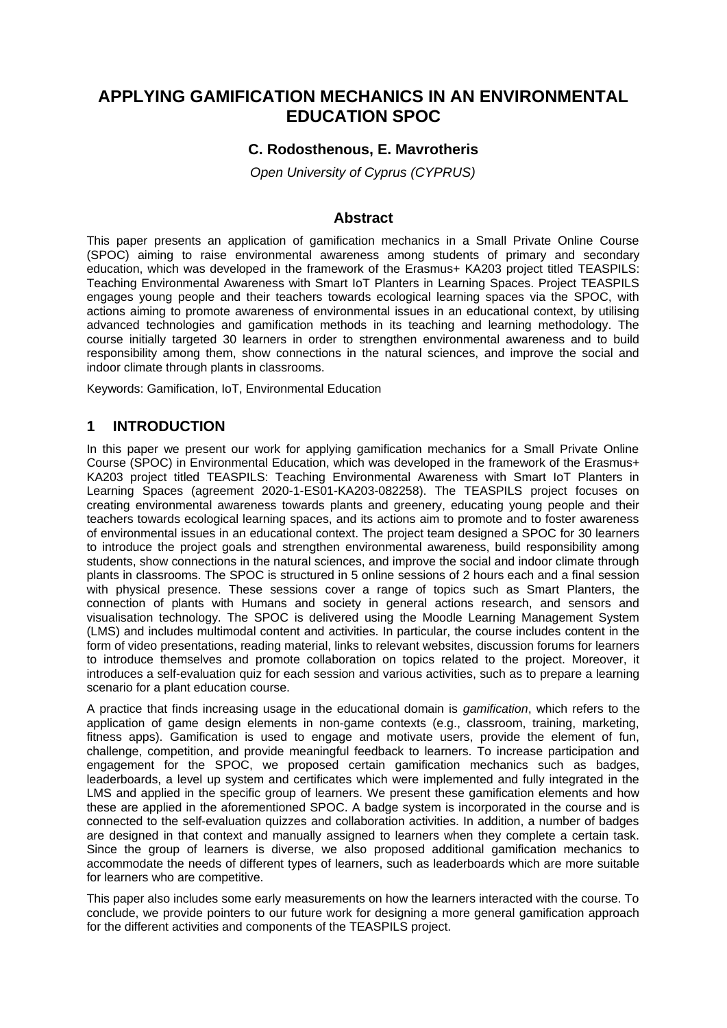# **APPLYING GAMIFICATION MECHANICS IN AN ENVIRONMENTAL EDUCATION SPOC**

## **C. Rodosthenous, E. Mavrotheris**

*Open University of Cyprus (CYPRUS)*

### **Abstract**

This paper presents an application of gamification mechanics in a Small Private Online Course (SPOC) aiming to raise environmental awareness among students of primary and secondary education, which was developed in the framework of the Erasmus+ KA203 project titled TEASPILS: Teaching Environmental Awareness with Smart IoT Planters in Learning Spaces. Project TEASPILS engages young people and their teachers towards ecological learning spaces via the SPOC, with actions aiming to promote awareness of environmental issues in an educational context, by utilising advanced technologies and gamification methods in its teaching and learning methodology. The course initially targeted 30 learners in order to strengthen environmental awareness and to build responsibility among them, show connections in the natural sciences, and improve the social and indoor climate through plants in classrooms.

Keywords: Gamification, IoT, Environmental Education

## **1 INTRODUCTION**

In this paper we present our work for applying gamification mechanics for a Small Private Online Course (SPOC) in Environmental Education, which was developed in the framework of the Erasmus+ KA203 project titled TEASPILS: Teaching Environmental Awareness with Smart IoT Planters in Learning Spaces (agreement 2020-1-ES01-KA203-082258). The TEASPILS project focuses on creating environmental awareness towards plants and greenery, educating young people and their teachers towards ecological learning spaces, and its actions aim to promote and to foster awareness of environmental issues in an educational context. The project team designed a SPOC for 30 learners to introduce the project goals and strengthen environmental awareness, build responsibility among students, show connections in the natural sciences, and improve the social and indoor climate through plants in classrooms. The SPOC is structured in 5 online sessions of 2 hours each and a final session with physical presence. These sessions cover a range of topics such as Smart Planters, the connection of plants with Humans and society in general actions research, and sensors and visualisation technology. The SPOC is delivered using the Moodle Learning Management System (LMS) and includes multimodal content and activities. In particular, the course includes content in the form of video presentations, reading material, links to relevant websites, discussion forums for learners to introduce themselves and promote collaboration on topics related to the project. Moreover, it introduces a self-evaluation quiz for each session and various activities, such as to prepare a learning scenario for a plant education course.

A practice that finds increasing usage in the educational domain is *gamification*, which refers to the application of game design elements in non-game contexts (e.g., classroom, training, marketing, fitness apps). Gamification is used to engage and motivate users, provide the element of fun, challenge, competition, and provide meaningful feedback to learners. To increase participation and engagement for the SPOC, we proposed certain gamification mechanics such as badges, leaderboards, a level up system and certificates which were implemented and fully integrated in the LMS and applied in the specific group of learners. We present these gamification elements and how these are applied in the aforementioned SPOC. A badge system is incorporated in the course and is connected to the self-evaluation quizzes and collaboration activities. In addition, a number of badges are designed in that context and manually assigned to learners when they complete a certain task. Since the group of learners is diverse, we also proposed additional gamification mechanics to accommodate the needs of different types of learners, such as leaderboards which are more suitable for learners who are competitive.

This paper also includes some early measurements on how the learners interacted with the course. To conclude, we provide pointers to our future work for designing a more general gamification approach for the different activities and components of the TEASPILS project.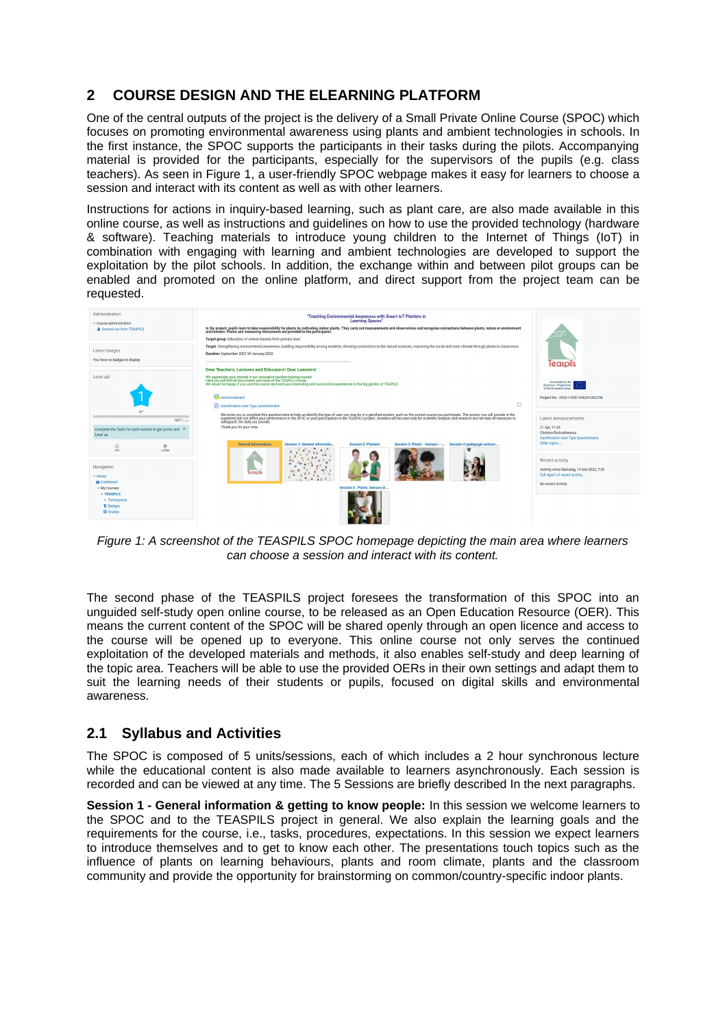## **2 COURSE DESIGN AND THE ELEARNING PLATFORM**

One of the central outputs of the project is the delivery of a Small Private Online Course (SPOC) which focuses on promoting environmental awareness using plants and ambient technologies in schools. In the first instance, the SPOC supports the participants in their tasks during the pilots. Accompanying material is provided for the participants, especially for the supervisors of the pupils (e.g. class teachers). As seen in Figure 1, a user-friendly SPOC webpage makes it easy for learners to choose a session and interact with its content as well as with other learners.

Instructions for actions in inquiry-based learning, such as plant care, are also made available in this online course, as well as instructions and guidelines on how to use the provided technology (hardware & software). Teaching materials to introduce young children to the Internet of Things (IoT) in combination with engaging with learning and ambient technologies are developed to support the exploitation by the pilot schools. In addition, the exchange within and between pilot groups can be enabled and promoted on the online platform, and direct support from the project team can be requested.

| Administration<br>$\sim$ Course administration<br><b>A</b> Unenrol me from TEASPILS                                                                                                  | "Teaching Environmental Awareness with Smart IoT Planters in<br><b>Learning Spaces"</b><br>In the project, pupils learn to take responsibility for plants by cultivating indoor plants. They carry out measurements and observations and recognise connections between plants, nature or environment<br>Target group: Educators of school classes from primary level                                                                                  |                                                                                                                               |
|--------------------------------------------------------------------------------------------------------------------------------------------------------------------------------------|-------------------------------------------------------------------------------------------------------------------------------------------------------------------------------------------------------------------------------------------------------------------------------------------------------------------------------------------------------------------------------------------------------------------------------------------------------|-------------------------------------------------------------------------------------------------------------------------------|
| Latest badges<br>You have no badges to display                                                                                                                                       | Target: Strengthening environmental awareness, building responsibility among students, showing connections in the natural sciences, improving the social and room climate through plants in classrooms<br>Duration: September 2021 till January 2022<br>Dear Teachers, Lectures and Educators! Dear Learners!                                                                                                                                         | Teaspils                                                                                                                      |
| Level up!<br>0 <sup>v</sup>                                                                                                                                                          | We appreciate your interest in our innovative teacher-training-course!<br>Here you will find all documents and tools of the TEAPILS course.<br>We would be happy, if you use this course and wish you interesting and successful experiences in the big garden of TEAPILS.<br>Announcement<br>O<br>Gamification User Type Questionnaire                                                                                                               | Co-funded by the<br>Erasmus+ Programme<br>of the European Union<br>Project No.: 2020-1-ES01-KA203-082258                      |
| 120° to go<br>Complete the Tasks for each session to get points and X<br>Level up.                                                                                                   | We invite you to complete this questionnaire to help us identify the type of user you may be in a gamified system, such as the current course you participate. The answer you will provide in the SPOC or your participation i<br>safeguard the data you provide.<br>Thank you for your time.<br><b>General Informations</b><br>Session 1: General informatio.<br>Session 4: pedagogic actions<br>Session 2: Planters<br>Session 3: Plants - Humans - | Latest announcements<br>21 Apr. 11:49<br>Christos Rodosthenous<br><b>Gamification User Type Questionnaire</b><br>Older topics |
| 堂<br>$\odot$<br>Ladder<br>Info<br>Navigation<br>$\vee$ Home<br><b>Se Dashboard</b><br>$\vee$ My courses<br>$\vee$ TEASPILS<br>> Participants<br><b>U</b> Badges<br><b>III</b> Grades | easpi<br>$\bullet$<br>Session 5 : Plants, Sensors &                                                                                                                                                                                                                                                                                                                                                                                                   | Recent activity<br>Activity since Samstag, 14 Mai 2022, 7:39<br>Full report of recent activity<br>No recent activity          |

*Figure 1: A screenshot of the TEASPILS SPOC homepage depicting the main area where learners can choose a session and interact with its content.*

The second phase of the TEASPILS project foresees the transformation of this SPOC into an unguided self-study open online course, to be released as an Open Education Resource (OER). This means the current content of the SPOC will be shared openly through an open licence and access to the course will be opened up to everyone. This online course not only serves the continued exploitation of the developed materials and methods, it also enables self-study and deep learning of the topic area. Teachers will be able to use the provided OERs in their own settings and adapt them to suit the learning needs of their students or pupils, focused on digital skills and environmental awareness.

## **2.1 Syllabus and Activities**

The SPOC is composed of 5 units/sessions, each of which includes a 2 hour synchronous lecture while the educational content is also made available to learners asynchronously. Each session is recorded and can be viewed at any time. The 5 Sessions are briefly described In the next paragraphs.

**Session 1 - General information & getting to know people:** In this session we welcome learners to the SPOC and to the TEASPILS project in general. We also explain the learning goals and the requirements for the course, i.e., tasks, procedures, expectations. In this session we expect learners to introduce themselves and to get to know each other. The presentations touch topics such as the influence of plants on learning behaviours, plants and room climate, plants and the classroom community and provide the opportunity for brainstorming on common/country-specific indoor plants.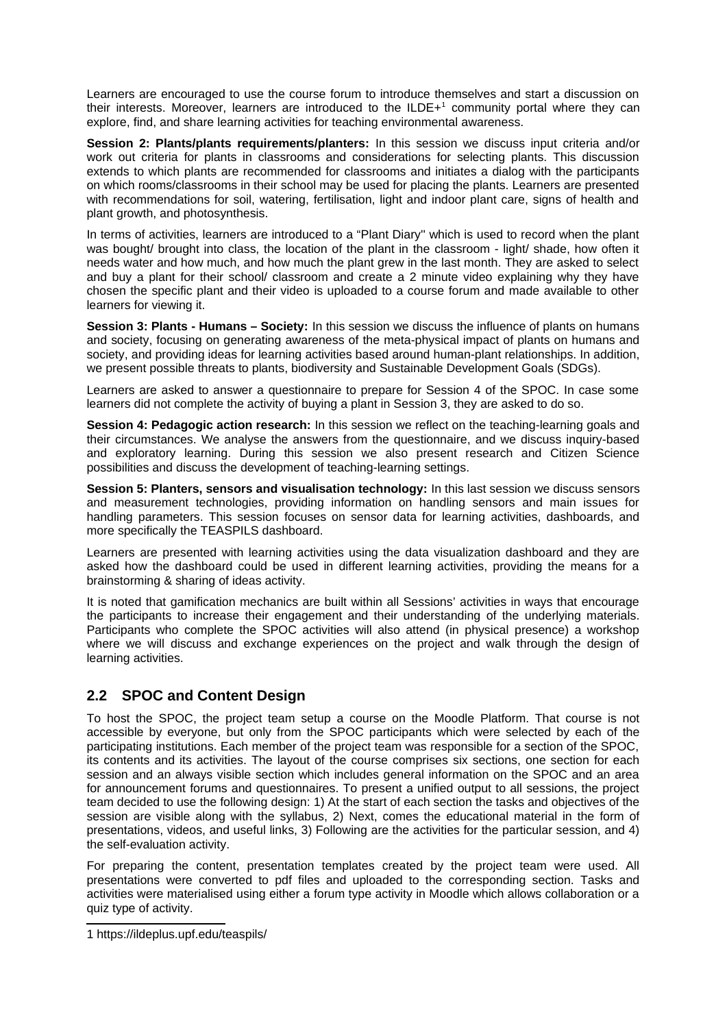<span id="page-2-0"></span>Learners are encouraged to use the course forum to introduce themselves and start a discussion on their interests. Moreover, learners are introduced to the ILDE+[1](#page-2-1) community portal where they can explore, find, and share learning activities for teaching environmental awareness.

**Session 2: Plants/plants requirements/planters:** In this session we discuss input criteria and/or work out criteria for plants in classrooms and considerations for selecting plants. This discussion extends to which plants are recommended for classrooms and initiates a dialog with the participants on which rooms/classrooms in their school may be used for placing the plants. Learners are presented with recommendations for soil, watering, fertilisation, light and indoor plant care, signs of health and plant growth, and photosynthesis.

In terms of activities, learners are introduced to a "Plant Diary'' which is used to record when the plant was bought/ brought into class, the location of the plant in the classroom - light/ shade, how often it needs water and how much, and how much the plant grew in the last month. They are asked to select and buy a plant for their school/ classroom and create a 2 minute video explaining why they have chosen the specific plant and their video is uploaded to a course forum and made available to other learners for viewing it.

**Session 3: Plants - Humans – Society:** In this session we discuss the influence of plants on humans and society, focusing on generating awareness of the meta-physical impact of plants on humans and society, and providing ideas for learning activities based around human-plant relationships. In addition, we present possible threats to plants, biodiversity and Sustainable Development Goals (SDGs).

Learners are asked to answer a questionnaire to prepare for Session 4 of the SPOC. In case some learners did not complete the activity of buying a plant in Session 3, they are asked to do so.

**Session 4: Pedagogic action research:** In this session we reflect on the teaching-learning goals and their circumstances. We analyse the answers from the questionnaire, and we discuss inquiry-based and exploratory learning. During this session we also present research and Citizen Science possibilities and discuss the development of teaching-learning settings.

**Session 5: Planters, sensors and visualisation technology:** In this last session we discuss sensors and measurement technologies, providing information on handling sensors and main issues for handling parameters. This session focuses on sensor data for learning activities, dashboards, and more specifically the TEASPILS dashboard.

Learners are presented with learning activities using the data visualization dashboard and they are asked how the dashboard could be used in different learning activities, providing the means for a brainstorming & sharing of ideas activity.

It is noted that gamification mechanics are built within all Sessions' activities in ways that encourage the participants to increase their engagement and their understanding of the underlying materials. Participants who complete the SPOC activities will also attend (in physical presence) a workshop where we will discuss and exchange experiences on the project and walk through the design of learning activities.

## **2.2 SPOC and Content Design**

To host the SPOC, the project team setup a course on the Moodle Platform. That course is not accessible by everyone, but only from the SPOC participants which were selected by each of the participating institutions. Each member of the project team was responsible for a section of the SPOC, its contents and its activities. The layout of the course comprises six sections, one section for each session and an always visible section which includes general information on the SPOC and an area for announcement forums and questionnaires. To present a unified output to all sessions, the project team decided to use the following design: 1) At the start of each section the tasks and objectives of the session are visible along with the syllabus, 2) Next, comes the educational material in the form of presentations, videos, and useful links, 3) Following are the activities for the particular session, and 4) the self-evaluation activity.

For preparing the content, presentation templates created by the project team were used. All presentations were converted to pdf files and uploaded to the corresponding section. Tasks and activities were materialised using either a forum type activity in Moodle which allows collaboration or a quiz type of activity.

<span id="page-2-1"></span>[<sup>1</sup>](#page-2-0) https://ildeplus.upf.edu/teaspils/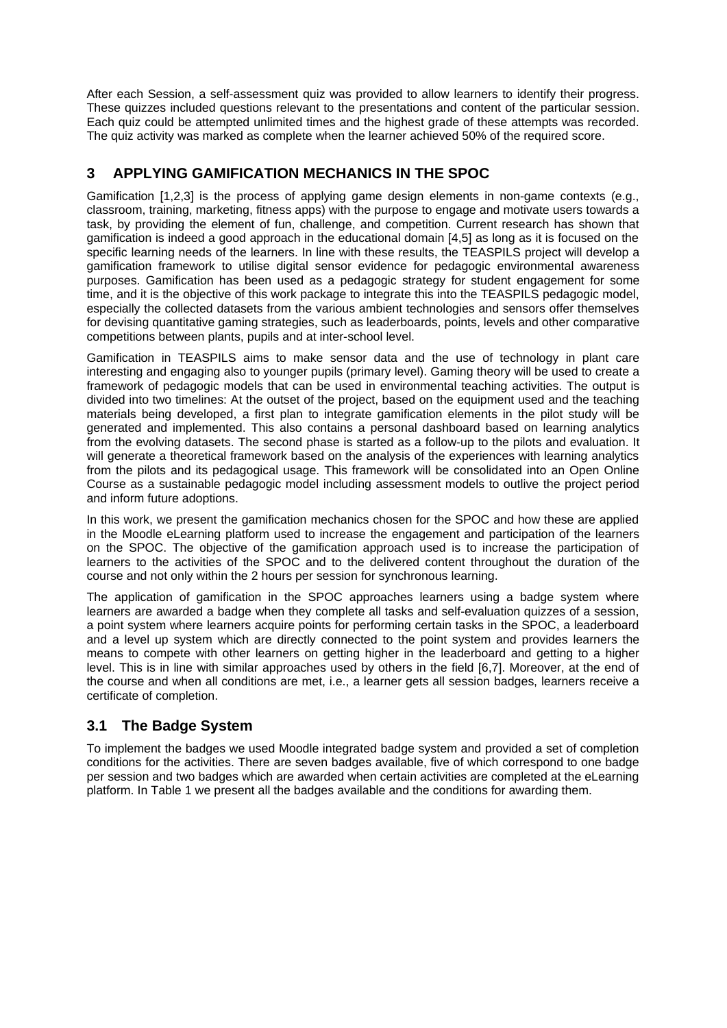After each Session, a self-assessment quiz was provided to allow learners to identify their progress. These quizzes included questions relevant to the presentations and content of the particular session. Each quiz could be attempted unlimited times and the highest grade of these attempts was recorded. The quiz activity was marked as complete when the learner achieved 50% of the required score.

# **3 APPLYING GAMIFICATION MECHANICS IN THE SPOC**

Gamification [1,2,3] is the process of applying game design elements in non-game contexts (e.g., classroom, training, marketing, fitness apps) with the purpose to engage and motivate users towards a task, by providing the element of fun, challenge, and competition. Current research has shown that gamification is indeed a good approach in the educational domain [4,5] as long as it is focused on the specific learning needs of the learners. In line with these results, the TEASPILS project will develop a gamification framework to utilise digital sensor evidence for pedagogic environmental awareness purposes. Gamification has been used as a pedagogic strategy for student engagement for some time, and it is the objective of this work package to integrate this into the TEASPILS pedagogic model, especially the collected datasets from the various ambient technologies and sensors offer themselves for devising quantitative gaming strategies, such as leaderboards, points, levels and other comparative competitions between plants, pupils and at inter-school level.

Gamification in TEASPILS aims to make sensor data and the use of technology in plant care interesting and engaging also to younger pupils (primary level). Gaming theory will be used to create a framework of pedagogic models that can be used in environmental teaching activities. The output is divided into two timelines: At the outset of the project, based on the equipment used and the teaching materials being developed, a first plan to integrate gamification elements in the pilot study will be generated and implemented. This also contains a personal dashboard based on learning analytics from the evolving datasets. The second phase is started as a follow-up to the pilots and evaluation. It will generate a theoretical framework based on the analysis of the experiences with learning analytics from the pilots and its pedagogical usage. This framework will be consolidated into an Open Online Course as a sustainable pedagogic model including assessment models to outlive the project period and inform future adoptions.

In this work, we present the gamification mechanics chosen for the SPOC and how these are applied in the Moodle eLearning platform used to increase the engagement and participation of the learners on the SPOC. The objective of the gamification approach used is to increase the participation of learners to the activities of the SPOC and to the delivered content throughout the duration of the course and not only within the 2 hours per session for synchronous learning.

The application of gamification in the SPOC approaches learners using a badge system where learners are awarded a badge when they complete all tasks and self-evaluation quizzes of a session, a point system where learners acquire points for performing certain tasks in the SPOC, a leaderboard and a level up system which are directly connected to the point system and provides learners the means to compete with other learners on getting higher in the leaderboard and getting to a higher level. This is in line with similar approaches used by others in the field [6,7]. Moreover, at the end of the course and when all conditions are met, i.e., a learner gets all session badges, learners receive a certificate of completion.

# **3.1 The Badge System**

To implement the badges we used Moodle integrated badge system and provided a set of completion conditions for the activities. There are seven badges available, five of which correspond to one badge per session and two badges which are awarded when certain activities are completed at the eLearning platform. In Table 1 we present all the badges available and the conditions for awarding them.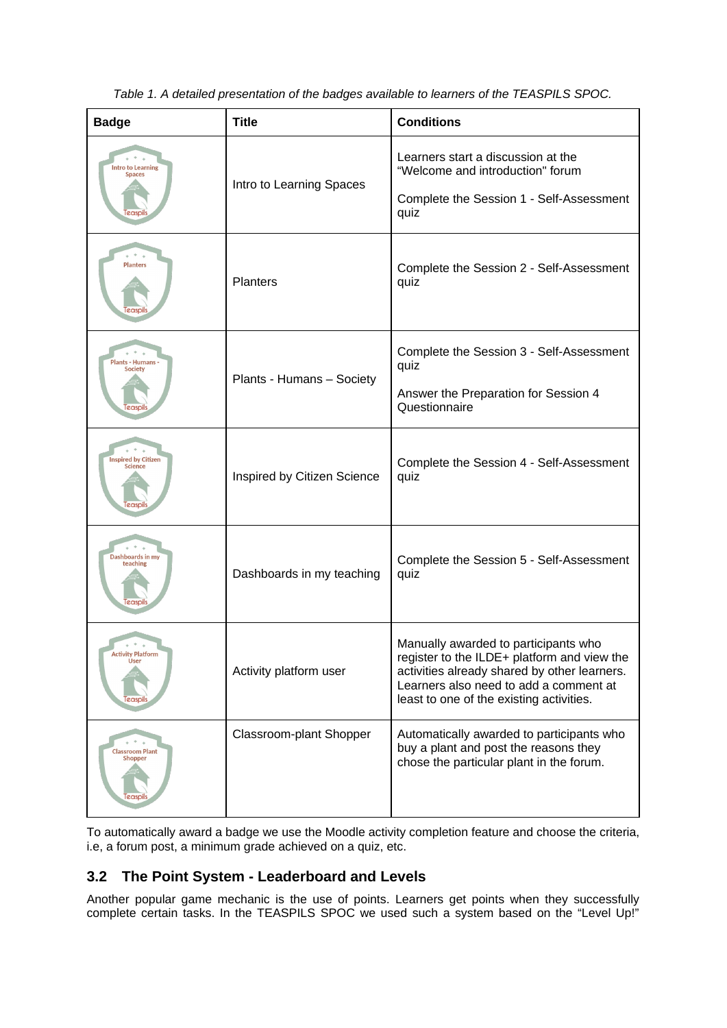| <b>Badge</b>                                          | <b>Title</b>                | <b>Conditions</b>                                                                                                                                                                                                         |  |
|-------------------------------------------------------|-----------------------------|---------------------------------------------------------------------------------------------------------------------------------------------------------------------------------------------------------------------------|--|
| <b>Intro to Learning</b><br><b>Spaces</b><br>easpi    | Intro to Learning Spaces    | Learners start a discussion at the<br>"Welcome and introduction" forum<br>Complete the Session 1 - Self-Assessment<br>quiz                                                                                                |  |
| <b>Planters</b>                                       | <b>Planters</b>             | Complete the Session 2 - Self-Assessment<br>quiz                                                                                                                                                                          |  |
| Plants - Humans -<br>Society                          |                             | Complete the Session 3 - Self-Assessment<br>quiz                                                                                                                                                                          |  |
| Teaspi                                                | Plants - Humans - Society   | Answer the Preparation for Session 4<br>Questionnaire                                                                                                                                                                     |  |
| <b>Inspired by Citizen</b><br><b>Science</b><br>easpi | Inspired by Citizen Science | Complete the Session 4 - Self-Assessment<br>quiz                                                                                                                                                                          |  |
| Dashboards in my<br>teaching<br>easpi                 | Dashboards in my teaching   | Complete the Session 5 - Self-Assessment<br>quiz                                                                                                                                                                          |  |
| <b>Activity Platform</b><br>User<br>easpi             | Activity platform user      | Manually awarded to participants who<br>register to the ILDE+ platform and view the<br>activities already shared by other learners.<br>Learners also need to add a comment at<br>least to one of the existing activities. |  |
| <b>Classroom Plant</b><br>Shopper<br>easpil           | Classroom-plant Shopper     | Automatically awarded to participants who<br>buy a plant and post the reasons they<br>chose the particular plant in the forum.                                                                                            |  |

*Table 1. A detailed presentation of the badges available to learners of the TEASPILS SPOC.*

To automatically award a badge we use the Moodle activity completion feature and choose the criteria, i.e, a forum post, a minimum grade achieved on a quiz, etc.

## **3.2 The Point System - Leaderboard and Levels**

Another popular game mechanic is the use of points. Learners get points when they successfully complete certain tasks. In the TEASPILS SPOC we used such a system based on the "Level Up!"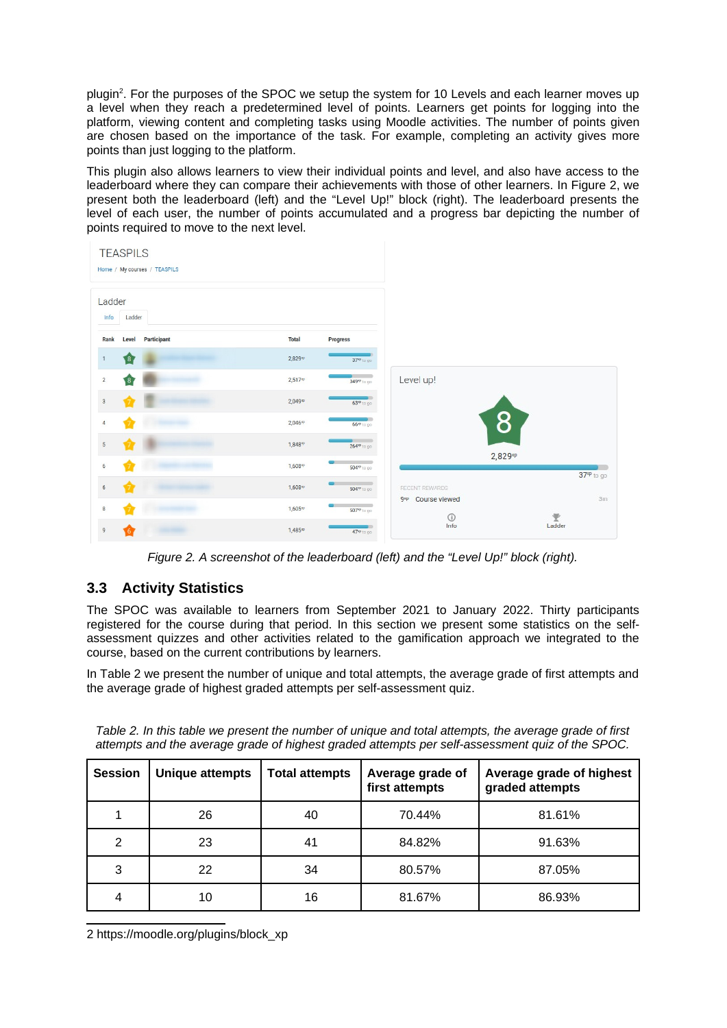<span id="page-5-0"></span>plugin<sup>[2](#page-5-1)</sup>. For the purposes of the SPOC we setup the system for 10 Levels and each learner moves up a level when they reach a predetermined level of points. Learners get points for logging into the platform, viewing content and completing tasks using Moodle activities. The number of points given are chosen based on the importance of the task. For example, completing an activity gives more points than just logging to the platform.

This plugin also allows learners to view their individual points and level, and also have access to the leaderboard where they can compare their achievements with those of other learners. In Figure 2, we present both the leaderboard (left) and the "Level Up!" block (right). The leaderboard presents the level of each user, the number of points accumulated and a progress bar depicting the number of points required to move to the next level.



*Figure 2. A screenshot of the leaderboard (left) and the "Level Up!" block (right).*

## **3.3 Activity Statistics**

The SPOC was available to learners from September 2021 to January 2022. Thirty participants registered for the course during that period. In this section we present some statistics on the selfassessment quizzes and other activities related to the gamification approach we integrated to the course, based on the current contributions by learners.

In Table 2 we present the number of unique and total attempts, the average grade of first attempts and the average grade of highest graded attempts per self-assessment quiz.

| Table 2. In this table we present the number of unique and total attempts, the average grade of first |  |  |  |
|-------------------------------------------------------------------------------------------------------|--|--|--|
| attempts and the average grade of highest graded attempts per self-assessment quiz of the SPOC.       |  |  |  |

| <b>Session</b> | <b>Unique attempts</b> | <b>Total attempts</b> | Average grade of<br>first attempts | Average grade of highest<br>graded attempts |
|----------------|------------------------|-----------------------|------------------------------------|---------------------------------------------|
|                | 26                     | 40                    | 70.44%                             | 81.61%                                      |
| 2              | 23                     | 41                    | 84.82%                             | 91.63%                                      |
| 3              | 22                     | 34                    | 80.57%                             | 87.05%                                      |
| 4              | 10                     | 16                    | 81.67%                             | 86.93%                                      |

<span id="page-5-1"></span>[2](#page-5-0) https://moodle.org/plugins/block\_xp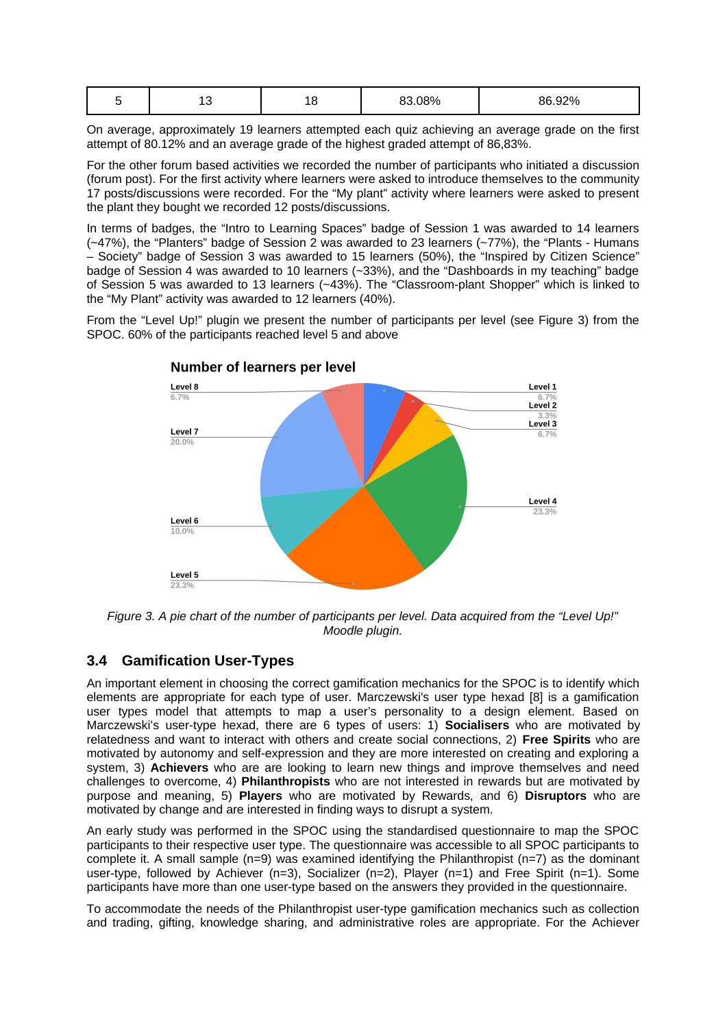|  | -- | ∸∽ | 8.08%<br>רה | 86.92% |
|--|----|----|-------------|--------|
|--|----|----|-------------|--------|

On average, approximately 19 learners attempted each quiz achieving an average grade on the first attempt of 80.12% and an average grade of the highest graded attempt of 86,83%.

For the other forum based activities we recorded the number of participants who initiated a discussion (forum post). For the first activity where learners were asked to introduce themselves to the community 17 posts/discussions were recorded. For the "My plant" activity where learners were asked to present the plant they bought we recorded 12 posts/discussions.

In terms of badges, the "Intro to Learning Spaces" badge of Session 1 was awarded to 14 learners (~47%), the "Planters" badge of Session 2 was awarded to 23 learners (~77%), the "Plants - Humans – Society" badge of Session 3 was awarded to 15 learners (50%), the "Inspired by Citizen Science" badge of Session 4 was awarded to 10 learners (~33%), and the "Dashboards in my teaching" badge of Session 5 was awarded to 13 learners (~43%). The "Classroom-plant Shopper" which is linked to the "My Plant" activity was awarded to 12 learners (40%).

From the "Level Up!" plugin we present the number of participants per level (see Figure 3) from the SPOC. 60% of the participants reached level 5 and above



**Number of learners per level** 

*Figure 3. A pie chart of the number of participants per level. Data acquired from the "Level Up!" Moodle plugin.*

### **3.4 Gamification User-Types**

An important element in choosing the correct gamification mechanics for the SPOC is to identify which elements are appropriate for each type of user. Marczewski's user type hexad [8] is a gamification user types model that attempts to map a user's personality to a design element. Based on Marczewski's user-type hexad, there are 6 types of users: 1) **Socialisers** who are motivated by relatedness and want to interact with others and create social connections, 2) **Free Spirits** who are motivated by autonomy and self-expression and they are more interested on creating and exploring a system, 3) **Achievers** who are are looking to learn new things and improve themselves and need challenges to overcome, 4) **Philanthropists** who are not interested in rewards but are motivated by purpose and meaning, 5) **Players** who are motivated by Rewards, and 6) **Disruptors** who are motivated by change and are interested in finding ways to disrupt a system.

An early study was performed in the SPOC using the standardised questionnaire to map the SPOC participants to their respective user type. The questionnaire was accessible to all SPOC participants to complete it. A small sample (n=9) was examined identifying the Philanthropist (n=7) as the dominant user-type, followed by Achiever (n=3), Socializer (n=2), Player (n=1) and Free Spirit (n=1). Some participants have more than one user-type based on the answers they provided in the questionnaire.

To accommodate the needs of the Philanthropist user-type gamification mechanics such as collection and trading, gifting, knowledge sharing, and administrative roles are appropriate. For the Achiever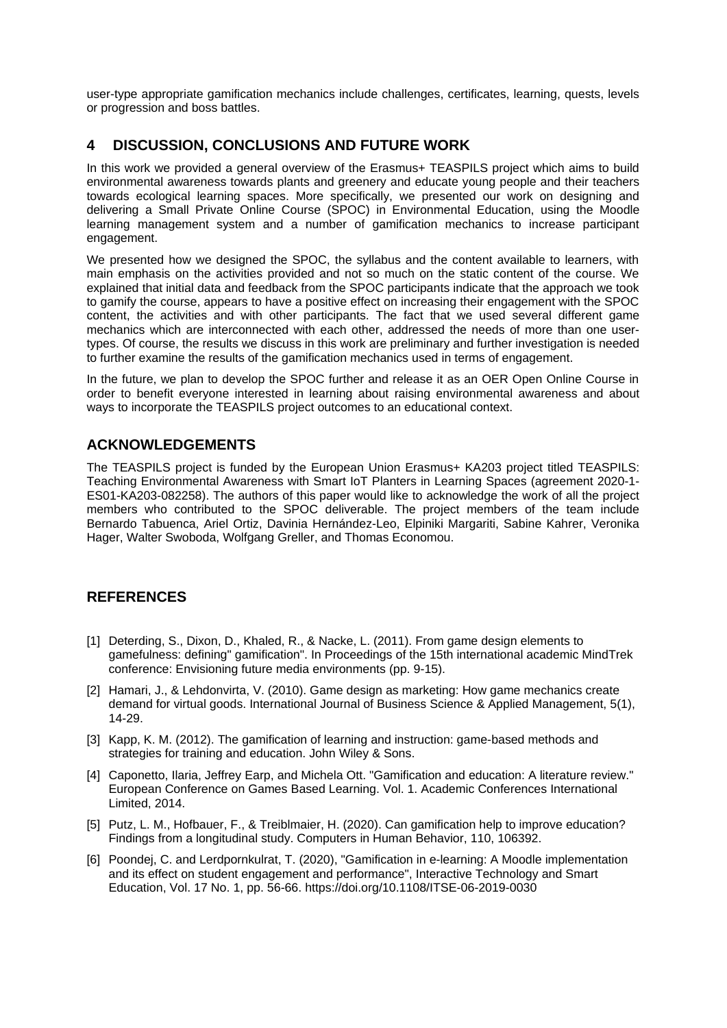user-type appropriate gamification mechanics include challenges, certificates, learning, quests, levels or progression and boss battles.

### **4 DISCUSSION, CONCLUSIONS AND FUTURE WORK**

In this work we provided a general overview of the Erasmus+ TEASPILS project which aims to build environmental awareness towards plants and greenery and educate young people and their teachers towards ecological learning spaces. More specifically, we presented our work on designing and delivering a Small Private Online Course (SPOC) in Environmental Education, using the Moodle learning management system and a number of gamification mechanics to increase participant engagement.

We presented how we designed the SPOC, the syllabus and the content available to learners, with main emphasis on the activities provided and not so much on the static content of the course. We explained that initial data and feedback from the SPOC participants indicate that the approach we took to gamify the course, appears to have a positive effect on increasing their engagement with the SPOC content, the activities and with other participants. The fact that we used several different game mechanics which are interconnected with each other, addressed the needs of more than one usertypes. Of course, the results we discuss in this work are preliminary and further investigation is needed to further examine the results of the gamification mechanics used in terms of engagement.

In the future, we plan to develop the SPOC further and release it as an OER Open Online Course in order to benefit everyone interested in learning about raising environmental awareness and about ways to incorporate the TEASPILS project outcomes to an educational context.

### **ACKNOWLEDGEMENTS**

The TEASPILS project is funded by the European Union Erasmus+ KA203 project titled TEASPILS: Teaching Environmental Awareness with Smart IoT Planters in Learning Spaces (agreement 2020-1- ES01-KA203-082258). The authors of this paper would like to acknowledge the work of all the project members who contributed to the SPOC deliverable. The project members of the team include Bernardo Tabuenca, Ariel Ortiz, Davinia Hernández-Leo, Elpiniki Margariti, Sabine Kahrer, Veronika Hager, Walter Swoboda, Wolfgang Greller, and Thomas Economou.

#### **REFERENCES**

- [1] Deterding, S., Dixon, D., Khaled, R., & Nacke, L. (2011). From game design elements to gamefulness: defining" gamification". In Proceedings of the 15th international academic MindTrek conference: Envisioning future media environments (pp. 9-15).
- [2] Hamari, J., & Lehdonvirta, V. (2010). Game design as marketing: How game mechanics create demand for virtual goods. International Journal of Business Science & Applied Management, 5(1), 14-29.
- [3] Kapp, K. M. (2012). The gamification of learning and instruction: game-based methods and strategies for training and education. John Wiley & Sons.
- [4] Caponetto, Ilaria, Jeffrey Earp, and Michela Ott. "Gamification and education: A literature review." European Conference on Games Based Learning. Vol. 1. Academic Conferences International Limited, 2014.
- [5] Putz, L. M., Hofbauer, F., & Treiblmaier, H. (2020). Can gamification help to improve education? Findings from a longitudinal study. Computers in Human Behavior, 110, 106392.
- [6] Poondej, C. and Lerdpornkulrat, T. (2020), "Gamification in e-learning: A Moodle implementation and its effect on student engagement and performance", Interactive Technology and Smart Education, Vol. 17 No. 1, pp. 56-66. https://doi.org/10.1108/ITSE-06-2019-0030